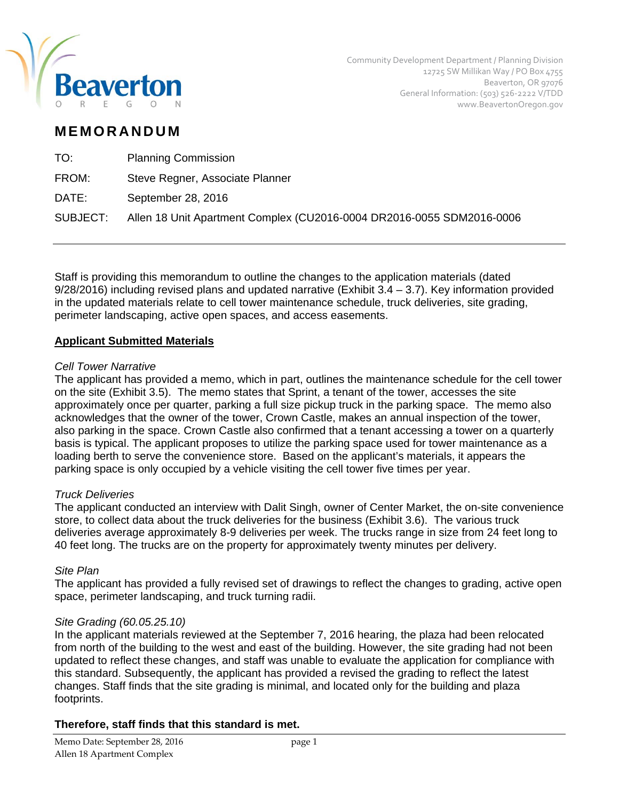

Community Development Department / Planning Division 12725 SW Millikan Way / PO Box 4755 Beaverton, OR 97076 General Information: (503) 526‐2222 V/TDD www.BeavertonOregon.gov

# **MEMORANDUM**

| <b>Planning Commission</b>                                            |
|-----------------------------------------------------------------------|
| Steve Regner, Associate Planner                                       |
| September 28, 2016                                                    |
| Allen 18 Unit Apartment Complex (CU2016-0004 DR2016-0055 SDM2016-0006 |
|                                                                       |

Staff is providing this memorandum to outline the changes to the application materials (dated 9/28/2016) including revised plans and updated narrative (Exhibit 3.4 – 3.7). Key information provided in the updated materials relate to cell tower maintenance schedule, truck deliveries, site grading, perimeter landscaping, active open spaces, and access easements.

## **Applicant Submitted Materials**

## *Cell Tower Narrative*

The applicant has provided a memo, which in part, outlines the maintenance schedule for the cell tower on the site (Exhibit 3.5). The memo states that Sprint, a tenant of the tower, accesses the site approximately once per quarter, parking a full size pickup truck in the parking space. The memo also acknowledges that the owner of the tower, Crown Castle, makes an annual inspection of the tower, also parking in the space. Crown Castle also confirmed that a tenant accessing a tower on a quarterly basis is typical. The applicant proposes to utilize the parking space used for tower maintenance as a loading berth to serve the convenience store. Based on the applicant's materials, it appears the parking space is only occupied by a vehicle visiting the cell tower five times per year.

## *Truck Deliveries*

The applicant conducted an interview with Dalit Singh, owner of Center Market, the on-site convenience store, to collect data about the truck deliveries for the business (Exhibit 3.6). The various truck deliveries average approximately 8-9 deliveries per week. The trucks range in size from 24 feet long to 40 feet long. The trucks are on the property for approximately twenty minutes per delivery.

## *Site Plan*

The applicant has provided a fully revised set of drawings to reflect the changes to grading, active open space, perimeter landscaping, and truck turning radii.

## *Site Grading (60.05.25.10)*

In the applicant materials reviewed at the September 7, 2016 hearing, the plaza had been relocated from north of the building to the west and east of the building. However, the site grading had not been updated to reflect these changes, and staff was unable to evaluate the application for compliance with this standard. Subsequently, the applicant has provided a revised the grading to reflect the latest changes. Staff finds that the site grading is minimal, and located only for the building and plaza footprints.

## **Therefore, staff finds that this standard is met.**